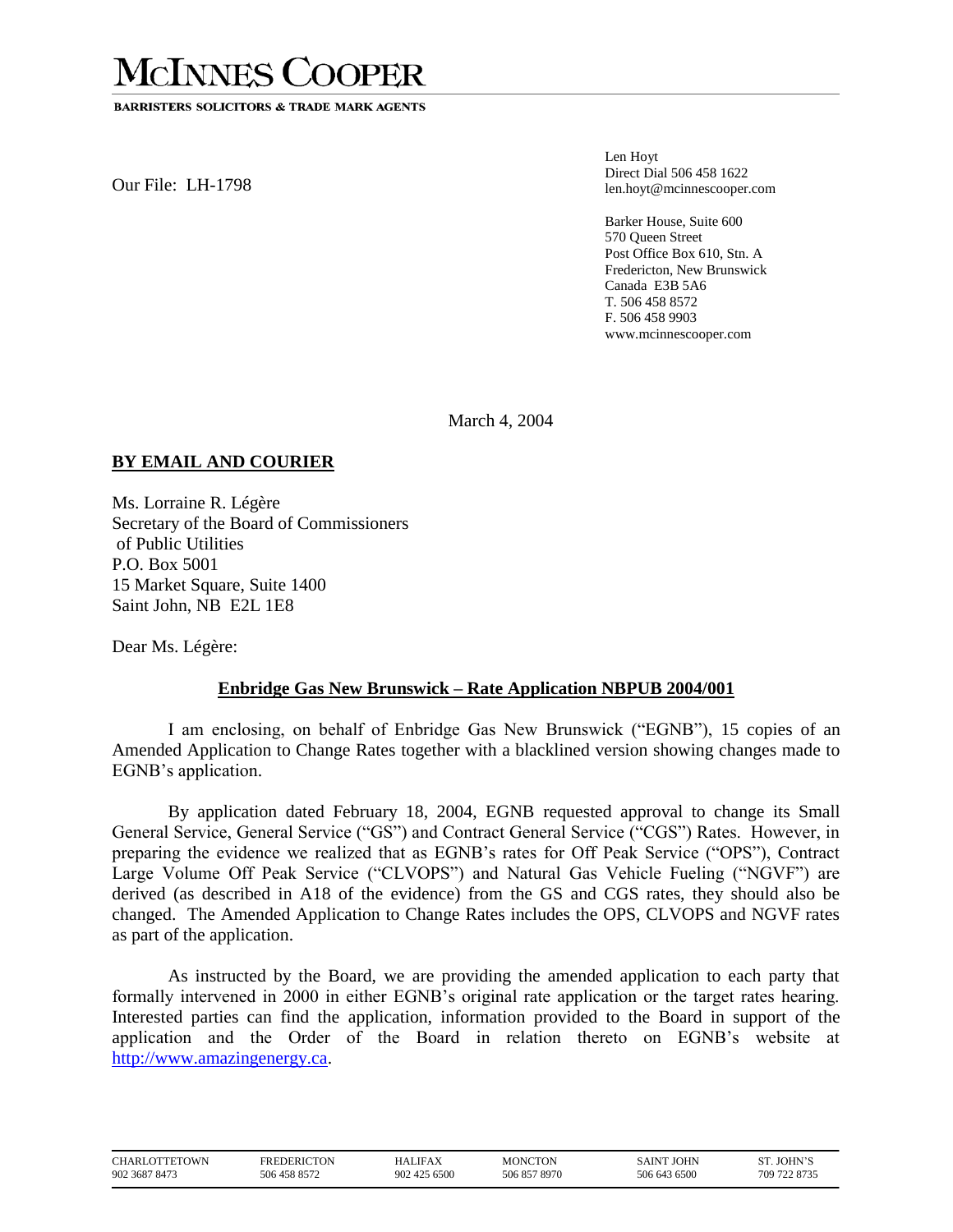## **MCINNES COOPER**

**BARRISTERS SOLICITORS & TRADE MARK AGENTS** 

Our File: LH-1798

Len Hoyt Direct Dial 506 458 1622 len.hoyt@mcinnescooper.com

Barker House, Suite 600 570 Queen Street Post Office Box 610, Stn. A Fredericton, New Brunswick Canada E3B 5A6 T. 506 458 8572 F. 506 458 9903 www.mcinnescooper.com

March 4, 2004

## **BY EMAIL AND COURIER**

Ms. Lorraine R. Légère Secretary of the Board of Commissioners of Public Utilities P.O. Box 5001 15 Market Square, Suite 1400 Saint John, NB E2L 1E8

Dear Ms. Légère:

## **Enbridge Gas New Brunswick – Rate Application NBPUB 2004/001**

I am enclosing, on behalf of Enbridge Gas New Brunswick ("EGNB"), 15 copies of an Amended Application to Change Rates together with a blacklined version showing changes made to EGNB's application.

By application dated February 18, 2004, EGNB requested approval to change its Small General Service, General Service ("GS") and Contract General Service ("CGS") Rates. However, in preparing the evidence we realized that as EGNB's rates for Off Peak Service ("OPS"), Contract Large Volume Off Peak Service ("CLVOPS") and Natural Gas Vehicle Fueling ("NGVF") are derived (as described in A18 of the evidence) from the GS and CGS rates, they should also be changed. The Amended Application to Change Rates includes the OPS, CLVOPS and NGVF rates as part of the application.

As instructed by the Board, we are providing the amended application to each party that formally intervened in 2000 in either EGNB's original rate application or the target rates hearing. Interested parties can find the application, information provided to the Board in support of the application and the Order of the Board in relation thereto on EGNB's website at [http://www.amazingenergy.ca.](http://www.amazingenergy.ca/)

| CHARLOTTETOWN | FREDERICTON  | HALIFAX      | MONCTON      | <b>SAINT JOHN</b> | ST. JOHN'S   |
|---------------|--------------|--------------|--------------|-------------------|--------------|
| 902 3687 8473 | 506 458 8572 | 902 425 6500 | 506 857 8970 | 506 643 6500      | 709 722 8735 |